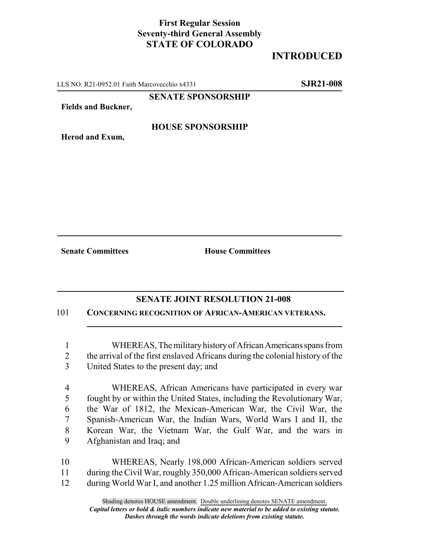## **First Regular Session Seventy-third General Assembly STATE OF COLORADO**

## **INTRODUCED**

LLS NO. R21-0952.01 Faith Marcovecchio x4331 **SJR21-008**

## **SENATE SPONSORSHIP**

**Fields and Buckner,**

**Herod and Exum,**

**HOUSE SPONSORSHIP**

**Senate Committees House Committees** 

## **SENATE JOINT RESOLUTION 21-008**

101 **CONCERNING RECOGNITION OF AFRICAN-AMERICAN VETERANS.**

1 WHEREAS, The military history of African Americans spans from 2 the arrival of the first enslaved Africans during the colonial history of the 3 United States to the present day; and

 WHEREAS, African Americans have participated in every war fought by or within the United States, including the Revolutionary War, the War of 1812, the Mexican-American War, the Civil War, the Spanish-American War, the Indian Wars, World Wars I and II, the Korean War, the Vietnam War, the Gulf War, and the wars in Afghanistan and Iraq; and

10 WHEREAS, Nearly 198,000 African-American soldiers served 11 during the Civil War, roughly 350,000 African-American soldiers served 12 during World War I, and another 1.25 million African-American soldiers